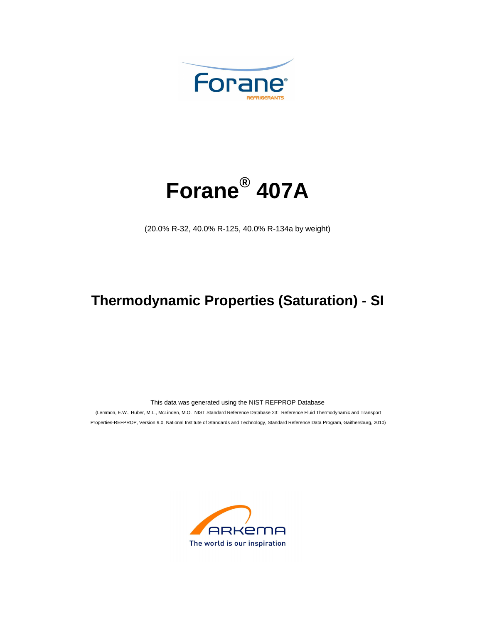



(20.0% R-32, 40.0% R-125, 40.0% R-134a by weight)

## **Thermodynamic Properties (Saturation) - SI**

This data was generated using the NIST REFPROP Database

 (Lemmon, E.W., Huber, M.L., McLinden, M.O. NIST Standard Reference Database 23: Reference Fluid Thermodynamic and Transport Properties-REFPROP, Version 9.0, National Institute of Standards and Technology, Standard Reference Data Program, Gaithersburg, 2010)

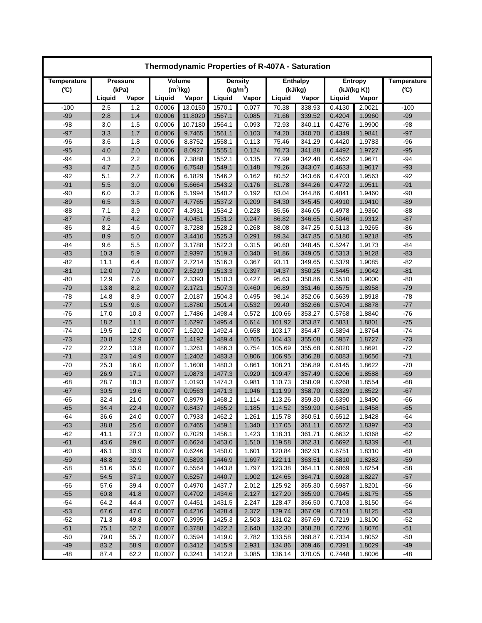| Thermodynamic Properties of R-407A - Saturation |                 |       |            |         |                      |       |                 |        |                |        |                    |
|-------------------------------------------------|-----------------|-------|------------|---------|----------------------|-------|-----------------|--------|----------------|--------|--------------------|
| Temperature                                     | <b>Pressure</b> |       | Volume     |         | <b>Density</b>       |       | <b>Enthalpy</b> |        | <b>Entropy</b> |        | <b>Temperature</b> |
| $(\mathfrak{C})$                                |                 | (kPa) | $(m^3/kg)$ |         | (kg/m <sup>3</sup> ) |       | (kJ/kg)         |        | (kJ/(kg K))    |        | (C)                |
|                                                 | Liquid          | Vapor | Liquid     | Vapor   | Liquid               | Vapor | Liquid          | Vapor  | Liquid         | Vapor  |                    |
| $-100$                                          | 2.5             | 1.2   | 0.0006     | 13.0150 | 1570.1               | 0.077 | 70.38           | 338.93 | 0.4130         | 2.0021 | $-100$             |
| $-99$                                           | 2.8             | 1.4   | 0.0006     | 11.8020 | 1567.1               | 0.085 | 71.66           | 339.52 | 0.4204         | 1.9960 | $-99$              |
| $-98$                                           | 3.0             | 1.5   | 0.0006     | 10.7180 | 1564.1               | 0.093 | 72.93           | 340.11 | 0.4276         | 1.9900 | $-98$              |
| $-97$                                           | 3.3             | 1.7   | 0.0006     | 9.7465  | 1561.1               | 0.103 | 74.20           | 340.70 | 0.4349         | 1.9841 | $-97$              |
| $-96$                                           | 3.6             | 1.8   | 0.0006     | 8.8752  | 1558.1               | 0.113 | 75.46           | 341.29 | 0.4420         | 1.9783 | $-96$              |
| $-95$                                           | 4.0             | 2.0   | 0.0006     | 8.0927  | 1555.1               | 0.124 | 76.73           | 341.88 | 0.4492         | 1.9727 | $-95$              |
| $-94$                                           | 4.3             | 2.2   | 0.0006     | 7.3888  | 1552.1               | 0.135 | 77.99           | 342.48 | 0.4562         | 1.9671 | $-94$              |
| $-93$                                           | 4.7             | 2.5   | 0.0006     | 6.7548  | 1549.1               | 0.148 | 79.26           | 343.07 | 0.4633         | 1.9617 | $-93$              |
| $-92$                                           | 5.1             | 2.7   | 0.0006     | 6.1829  | 1546.2               | 0.162 | 80.52           | 343.66 | 0.4703         | 1.9563 | $-92$              |
| $-91$                                           | 5.5             | 3.0   | 0.0006     | 5.6664  | 1543.2               | 0.176 | 81.78           | 344.26 | 0.4772         | 1.9511 | $-91$              |
| $-90$                                           | 6.0             | 3.2   | 0.0006     | 5.1994  | 1540.2               | 0.192 | 83.04           | 344.86 | 0.4841         | 1.9460 | $-90$              |
| $-89$                                           | 6.5             | 3.5   | 0.0007     | 4.7765  | 1537.2               | 0.209 | 84.30           | 345.45 | 0.4910         | 1.9410 | $-89$              |
| $-88$                                           | 7.1             | 3.9   | 0.0007     | 4.3931  | 1534.2               | 0.228 | 85.56           | 346.05 | 0.4978         | 1.9360 | $-88$              |
| $-87$                                           | 7.6             | 4.2   | 0.0007     | 4.0451  | 1531.2               | 0.247 | 86.82           | 346.65 | 0.5046         | 1.9312 | $-87$              |
| $-86$                                           | 8.2             | 4.6   | 0.0007     | 3.7288  | 1528.2               | 0.268 | 88.08           | 347.25 | 0.5113         | 1.9265 | -86                |
| $-85$                                           | 8.9             | 5.0   | 0.0007     | 3.4410  | 1525.3               | 0.291 | 89.34           | 347.85 | 0.5180         | 1.9218 | $-85$              |
| $-84$                                           | 9.6             | 5.5   | 0.0007     | 3.1788  | 1522.3               | 0.315 | 90.60           | 348.45 | 0.5247         | 1.9173 | $-84$              |
| $-83$                                           | 10.3            | 5.9   | 0.0007     | 2.9397  | 1519.3               | 0.340 | 91.86           | 349.05 | 0.5313         | 1.9128 | $-83$              |
| $-82$                                           | 11.1            | 6.4   | 0.0007     | 2.7214  | 1516.3               | 0.367 | 93.11           | 349.65 | 0.5379         | 1.9085 | $-82$              |
| $-81$                                           | 12.0            | 7.0   | 0.0007     | 2.5219  | 1513.3               | 0.397 | 94.37           | 350.25 | 0.5445         | 1.9042 | $-81$              |
| $-80$                                           | 12.9            | 7.6   | 0.0007     | 2.3393  | 1510.3               | 0.427 | 95.63           | 350.86 | 0.5510         | 1.9000 | $-80$              |
| $-79$                                           | 13.8            | 8.2   | 0.0007     | 2.1721  | 1507.3               | 0.460 | 96.89           | 351.46 | 0.5575         | 1.8958 | $-79$              |
| $-78$                                           | 14.8            | 8.9   | 0.0007     | 2.0187  | 1504.3               | 0.495 | 98.14           | 352.06 | 0.5639         | 1.8918 | $-78$              |
| $-77$                                           | 15.9            | 9.6   | 0.0007     | 1.8780  | 1501.4               | 0.532 | 99.40           | 352.66 | 0.5704         | 1.8878 | $-77$              |
| $-76$                                           | 17.0            | 10.3  | 0.0007     | 1.7486  | 1498.4               | 0.572 | 100.66          | 353.27 | 0.5768         | 1.8840 | $-76$              |
| $-75$                                           | 18.2            | 11.1  | 0.0007     | 1.6297  | 1495.4               | 0.614 | 101.92          | 353.87 | 0.5831         | 1.8801 | $-75$              |
| $-74$                                           | 19.5            | 12.0  | 0.0007     | 1.5202  | 1492.4               | 0.658 | 103.17          | 354.47 | 0.5894         | 1.8764 | $-74$              |
| $-73$                                           | 20.8            | 12.9  | 0.0007     | 1.4192  | 1489.4               | 0.705 | 104.43          | 355.08 | 0.5957         | 1.8727 | $-73$              |
| $-72$                                           | 22.2            | 13.8  | 0.0007     | 1.3261  | 1486.3               | 0.754 | 105.69          | 355.68 | 0.6020         | 1.8691 | $-72$              |
| $-71$                                           | 23.7            | 14.9  | 0.0007     | 1.2402  | 1483.3               | 0.806 | 106.95          | 356.28 | 0.6083         | 1.8656 | $-71$              |
| $-70$                                           | 25.3            | 16.0  | 0.0007     | 1.1608  | 1480.3               | 0.861 | 108.21          | 356.89 | 0.6145         | 1.8622 | $-70$              |
| $-69$                                           | 26.9            | 17.1  | 0.0007     | 1.0873  | 1477.3               | 0.920 | 109.47          | 357.49 | 0.6206         | 1.8588 | $-69$              |
| $-68$                                           | 28.7            | 18.3  | 0.0007     | 1.0193  | 1474.3               | 0.981 | 110.73          | 358.09 | 0.6268         | 1.8554 | $-68$              |
| $-67$                                           | 30.5            | 19.6  | 0.0007     | 0.9563  | 1471.3               | 1.046 | 111.99          | 358.70 | 0.6329         | 1.8522 | $-67$              |
| $-66$                                           | 32.4            | 21.0  | 0.0007     | 0.8979  | 1468.2               | 1.114 | 113.26          | 359.30 | 0.6390         | 1.8490 | $-66$              |
| $-65$                                           | 34.4            | 22.4  | 0.0007     | 0.8437  | 1465.2               | 1.185 | 114.52          | 359.90 | 0.6451         | 1.8458 | $-65$              |
| -64                                             | 36.6            | 24.0  | 0.0007     | 0.7933  | 1462.2               | 1.261 | 115.78          | 360.51 | 0.6512         | 1.8428 | -64                |
| $-63$                                           | 38.8            | 25.6  | 0.0007     | 0.7465  | 1459.1               | 1.340 | 117.05          | 361.11 | 0.6572         | 1.8397 | $-63$              |
| $-62$                                           | 41.1            | 27.3  | 0.0007     | 0.7029  | 1456.1               | 1.423 | 118.31          | 361.71 | 0.6632         | 1.8368 | $-62$              |
| $-61$                                           | 43.6            | 29.0  | 0.0007     | 0.6624  | 1453.0               | 1.510 | 119.58          | 362.31 | 0.6692         | 1.8339 | $-61$              |
| $-60$                                           | 46.1            | 30.9  | 0.0007     | 0.6246  | 1450.0               | 1.601 | 120.84          | 362.91 | 0.6751         | 1.8310 | $-60$              |
| $-59$                                           | 48.8            | 32.9  | 0.0007     | 0.5893  | 1446.9               | 1.697 | 122.11          | 363.51 | 0.6810         | 1.8282 | $-59$              |
| $-58$                                           | 51.6            | 35.0  | 0.0007     | 0.5564  | 1443.8               | 1.797 | 123.38          | 364.11 | 0.6869         | 1.8254 | $-58$              |
| $-57$                                           | 54.5            | 37.1  | 0.0007     | 0.5257  | 1440.7               | 1.902 | 124.65          | 364.71 | 0.6928         | 1.8227 | $-57$              |
| $-56$                                           | 57.6            | 39.4  | 0.0007     | 0.4970  | 1437.7               | 2.012 | 125.92          | 365.30 | 0.6987         | 1.8201 | $-56$              |
| $-55$                                           | 60.8            | 41.8  | 0.0007     | 0.4702  | 1434.6               | 2.127 | 127.20          | 365.90 | 0.7045         | 1.8175 | $-55$              |
| $-54$                                           | 64.2            | 44.4  | 0.0007     | 0.4451  | 1431.5               | 2.247 | 128.47          | 366.50 | 0.7103         | 1.8150 | $-54$              |
| $-53$                                           | 67.6            | 47.0  | 0.0007     | 0.4216  | 1428.4               | 2.372 | 129.74          | 367.09 | 0.7161         | 1.8125 | $-53$              |
| $-52$                                           | 71.3            | 49.8  | 0.0007     | 0.3995  | 1425.3               | 2.503 | 131.02          | 367.69 | 0.7219         | 1.8100 | $-52$              |
| $-51$                                           | 75.1            | 52.7  | 0.0007     | 0.3788  | 1422.2               | 2.640 | 132.30          | 368.28 | 0.7276         | 1.8076 | $-51$              |
| $-50$                                           | 79.0            | 55.7  | 0.0007     | 0.3594  | 1419.0               | 2.782 | 133.58          | 368.87 | 0.7334         | 1.8052 | $-50$              |
| $-49$                                           | 83.2            | 58.9  | 0.0007     | 0.3412  | 1415.9               | 2.931 | 134.86          | 369.46 | 0.7391         | 1.8029 | $-49$              |
| $-48$                                           | 87.4            | 62.2  | 0.0007     | 0.3241  | 1412.8               | 3.085 | 136.14          | 370.05 | 0.7448         | 1.8006 | $-48$              |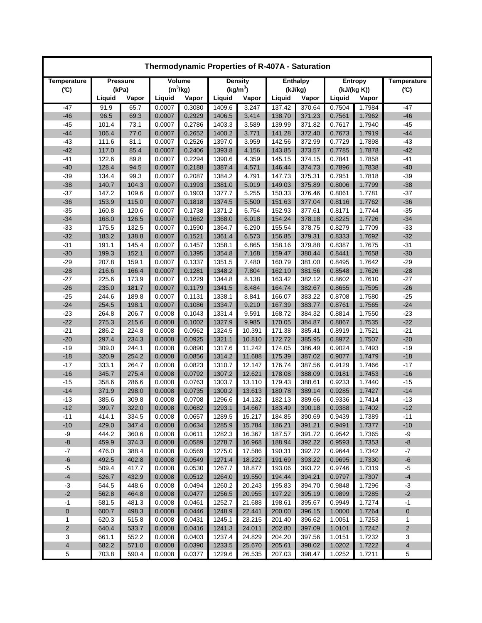| Thermodynamic Properties of R-407A - Saturation |                |                |                  |                  |                      |                |                  |                  |                  |                  |                         |
|-------------------------------------------------|----------------|----------------|------------------|------------------|----------------------|----------------|------------------|------------------|------------------|------------------|-------------------------|
| Temperature                                     | Pressure       |                | Volume           |                  | <b>Density</b>       |                | <b>Enthalpy</b>  |                  | <b>Entropy</b>   |                  | <b>Temperature</b>      |
| (C)                                             |                | (kPa)          | $(m^3/kg)$       |                  | (kg/m <sup>3</sup> ) |                | (kJ/kg)          |                  | (kJ/(kg K))      |                  | (C)                     |
|                                                 | Liquid         | Vapor          | Liquid           | Vapor            | Liquid               | Vapor          | Liquid           | Vapor            | Liquid           | Vapor            |                         |
| $-47$                                           | 91.9           | 65.7           | 0.0007           | 0.3080           | 1409.6               | 3.247          | 137.42           | 370.64           | 0.7504           | 1.7984           | $-47$                   |
| $-46$                                           | 96.5           | 69.3           | 0.0007           | 0.2929           | 1406.5               | 3.414          | 138.70           | 371.23           | 0.7561           | 1.7962           | $-46$                   |
| $-45$                                           | 101.4          | 73.1           | 0.0007           | 0.2786           | 1403.3               | 3.589          | 139.99           | 371.82           | 0.7617           | 1.7940           | $-45$                   |
| $-44$                                           | 106.4          | 77.0           | 0.0007           | 0.2652           | 1400.2               | 3.771          | 141.28           | 372.40           | 0.7673           | 1.7919           | $-44$                   |
| $-43$                                           | 111.6          | 81.1           | 0.0007           | 0.2526           | 1397.0               | 3.959          | 142.56           | 372.99           | 0.7729           | 1.7898           | $-43$                   |
| $-42$                                           | 117.0          | 85.4           | 0.0007           | 0.2406           | 1393.8               | 4.156          | 143.85           | 373.57           | 0.7785           | 1.7878           | $-42$                   |
| $-41$                                           | 122.6          | 89.8           | 0.0007           | 0.2294           | 1390.6               | 4.359          | 145.15           | 374.15           | 0.7841           | 1.7858           | $-41$                   |
| $-40$                                           | 128.4          | 94.5           | 0.0007           | 0.2188           | 1387.4               | 4.571          | 146.44           | 374.73           | 0.7896           | 1.7838           | $-40$                   |
| $-39$                                           | 134.4          | 99.3           | 0.0007           | 0.2087           | 1384.2               | 4.791          | 147.73           | 375.31           | 0.7951           | 1.7818           | $-39$                   |
| $-38$                                           | 140.7          | 104.3          | 0.0007           | 0.1993           | 1381.0               | 5.019          | 149.03<br>150.33 | 375.89           | 0.8006           | 1.7799           | $-38$<br>$-37$          |
| $-37$<br>$-36$                                  | 147.2<br>153.9 | 109.6<br>115.0 | 0.0007<br>0.0007 | 0.1903<br>0.1818 | 1377.7<br>1374.5     | 5.255<br>5.500 | 151.63           | 376.46<br>377.04 | 0.8061<br>0.8116 | 1.7781<br>1.7762 | $-36$                   |
| $-35$                                           | 160.8          | 120.6          | 0.0007           | 0.1738           | 1371.2               | 5.754          | 152.93           | 377.61           | 0.8171           | 1.7744           | $-35$                   |
| $-34$                                           | 168.0          | 126.5          | 0.0007           | 0.1662           | 1368.0               | 6.018          | 154.24           | 378.18           | 0.8225           | 1.7726           | $-34$                   |
| $-33$                                           | 175.5          | 132.5          | 0.0007           | 0.1590           | 1364.7               | 6.290          | 155.54           | 378.75           | 0.8279           | 1.7709           | $-33$                   |
| $-32$                                           | 183.2          | 138.8          | 0.0007           | 0.1521           | 1361.4               | 6.573          | 156.85           | 379.31           | 0.8333           | 1.7692           | $-32$                   |
| $-31$                                           | 191.1          | 145.4          | 0.0007           | 0.1457           | 1358.1               | 6.865          | 158.16           | 379.88           | 0.8387           | 1.7675           | $-31$                   |
| $-30$                                           | 199.3          | 152.1          | 0.0007           | 0.1395           | 1354.8               | 7.168          | 159.47           | 380.44           | 0.8441           | 1.7658           | $-30$                   |
| $-29$                                           | 207.8          | 159.1          | 0.0007           | 0.1337           | 1351.5               | 7.480          | 160.79           | 381.00           | 0.8495           | 1.7642           | $-29$                   |
| $-28$                                           | 216.6          | 166.4          | 0.0007           | 0.1281           | 1348.2               | 7.804          | 162.10           | 381.56           | 0.8548           | 1.7626           | $-28$                   |
| $-27$                                           | 225.6          | 173.9          | 0.0007           | 0.1229           | 1344.8               | 8.138          | 163.42           | 382.12           | 0.8602           | 1.7610           | $-27$                   |
| $-26$                                           | 235.0          | 181.7          | 0.0007           | 0.1179           | 1341.5               | 8.484          | 164.74           | 382.67           | 0.8655           | 1.7595           | $-26$                   |
| $-25$                                           | 244.6          | 189.8          | 0.0007           | 0.1131           | 1338.1               | 8.841          | 166.07           | 383.22           | 0.8708           | 1.7580           | $-25$                   |
| $-24$                                           | 254.5          | 198.1          | 0.0007           | 0.1086           | 1334.7               | 9.210          | 167.39           | 383.77           | 0.8761           | 1.7565           | $-24$                   |
| $-23$                                           | 264.8          | 206.7          | 0.0008           | 0.1043           | 1331.4               | 9.591          | 168.72           | 384.32           | 0.8814           | 1.7550           | $-23$                   |
| $-22$                                           | 275.3          | 215.6          | 0.0008           | 0.1002           | 1327.9               | 9.985          | 170.05           | 384.87           | 0.8867           | 1.7535           | $-22$                   |
| $-21$                                           | 286.2          | 224.8          | 0.0008           | 0.0962           | 1324.5               | 10.391         | 171.38           | 385.41           | 0.8919           | 1.7521           | $-21$                   |
| $-20$                                           | 297.4          | 234.3          | 0.0008           | 0.0925           | 1321.1               | 10.810         | 172.72           | 385.95           | 0.8972           | 1.7507           | $-20$                   |
| $-19$                                           | 309.0          | 244.1          | 0.0008           | 0.0890           | 1317.6               | 11.242         | 174.05           | 386.49           | 0.9024           | 1.7493           | $-19$                   |
| $-18$                                           | 320.9          | 254.2          | 0.0008           | 0.0856           | 1314.2               | 11.688         | 175.39           | 387.02           | 0.9077           | 1.7479           | $-18$                   |
| $-17$                                           | 333.1          | 264.7          | 0.0008           | 0.0823           | 1310.7               | 12.147         | 176.74           | 387.56           | 0.9129           | 1.7466           | $-17$                   |
| $-16$                                           | 345.7          | 275.4          | 0.0008           | 0.0792           | 1307.2               | 12.621         | 178.08           | 388.09           | 0.9181           | 1.7453           | $-16$                   |
| $-15$                                           | 358.6          | 286.6          | 0.0008           | 0.0763           | 1303.7               | 13.110         | 179.43           | 388.61           | 0.9233           | 1.7440           | $-15$                   |
| $-14$                                           | 371.9          | 298.0          | 0.0008           | 0.0735           | 1300.2               | 13.613         | 180.78           | 389.14           | 0.9285           | 1.7427           | $-14$                   |
| $-13$                                           | 385.6          | 309.8          | 0.0008           | 0.0708           | 1296.6               | 14.132         | 182.13           | 389.66           | 0.9336           | 1.7414           | $-13$                   |
| $-12$                                           | 399.7          | 322.0          | 0.0008           | 0.0682           | 1293.1               | 14.667         | 183.49           | 390.18           | 0.9388           | 1.7402           | $-12$                   |
| $-11$                                           | 414.1          | 334.5          | 0.0008           | 0.0657           | 1289.5               | 15.217         | 184.85           | 390.69           | 0.9439           | 1.7389           | -11                     |
| $-10$                                           | 429.0          | 347.4          | 0.0008           | 0.0634           | 1285.9               | 15.784         | 186.21           | 391.21           | 0.9491           | 1.7377           | $-10$                   |
| $-9$                                            | 444.2          | 360.6          | 0.0008           | 0.0611           | 1282.3               | 16.367         | 187.57           | 391.72           | 0.9542           | 1.7365           | -9                      |
| $-8$                                            | 459.9          | 374.3          | 0.0008           | 0.0589           | 1278.7               | 16.968         | 188.94           | 392.22           | 0.9593           | 1.7353           | -8                      |
| $-7$                                            | 476.0          | 388.4          | 0.0008           | 0.0569           | 1275.0               | 17.586         | 190.31           | 392.72           | 0.9644           | 1.7342           | $-7$                    |
| $-6$                                            | 492.5          | 402.8          | 0.0008           | 0.0549           | 1271.4               | 18.222         | 191.69           | 393.22           | 0.9695           | 1.7330           | $-6$                    |
| $-5$                                            | 509.4          | 417.7          | 0.0008           | 0.0530           | 1267.7               | 18.877         | 193.06           | 393.72           | 0.9746           | 1.7319           | $-5$                    |
| $\textbf{-4}$                                   | 526.7          | 432.9          | 0.0008           | 0.0512           | 1264.0               | 19.550         | 194.44           | 394.21           | 0.9797           | 1.7307           | $^{\text{{\small -4}}}$ |
| $-3$                                            | 544.5          | 448.6          | 0.0008           | 0.0494           | 1260.2               | 20.243         | 195.83           | 394.70           | 0.9848           | 1.7296           | $-3$                    |
| $-2$                                            | 562.8          | 464.8          | 0.0008           | 0.0477           | 1256.5               | 20.955         | 197.22           | 395.19           | 0.9899           | 1.7285           | $-2$                    |
| $-1$                                            | 581.5          | 481.3          | 0.0008           | 0.0461           | 1252.7               | 21.688         | 198.61           | 395.67           | 0.9949           | 1.7274           | $-1$                    |
| 0                                               | 600.7          | 498.3          | 0.0008           | 0.0446           | 1248.9               | 22.441         | 200.00           | 396.15           | 1.0000           | 1.7264           | 0                       |
| 1                                               | 620.3          | 515.8          | 0.0008           | 0.0431           | 1245.1               | 23.215         | 201.40           | 396.62           | 1.0051           | 1.7253           | 1                       |
| $\overline{c}$                                  | 640.4          | 533.7          | 0.0008           | 0.0416           | 1241.3               | 24.011         | 202.80           | 397.09           | 1.0101           | 1.7242           | 2                       |
| 3                                               | 661.1          | 552.2          | 0.0008           | 0.0403           | 1237.4               | 24.829         | 204.20           | 397.56           | 1.0151           | 1.7232           | 3                       |
| $\overline{\mathbf{4}}$                         | 682.2          | 571.0          | 0.0008           | 0.0390           | 1233.5               | 25.670         | 205.61           | 398.02           | 1.0202           | 1.7222           | 4                       |
| 5                                               | 703.8          | 590.4          | 0.0008           | 0.0377           | 1229.6               | 26.535         | 207.03           | 398.47           | 1.0252           | 1.7211           | 5                       |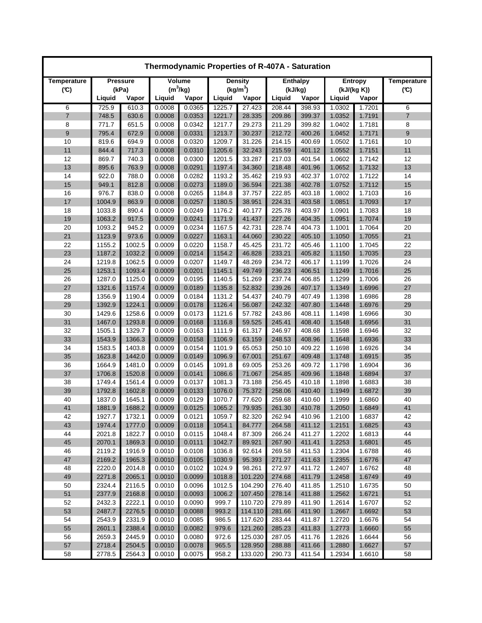| Thermodynamic Properties of R-407A - Saturation |                 |        |            |        |                |                      |                 |        |             |        |                    |
|-------------------------------------------------|-----------------|--------|------------|--------|----------------|----------------------|-----------------|--------|-------------|--------|--------------------|
| Temperature                                     | <b>Pressure</b> |        | Volume     |        | <b>Density</b> |                      | <b>Enthalpy</b> |        | Entropy     |        | <b>Temperature</b> |
| (C)                                             |                 | (kPa)  | $(m^3/kg)$ |        |                | (kg/m <sup>3</sup> ) | (kJ/kg)         |        | (kJ/(kg K)) |        | $(\mathfrak{C})$   |
|                                                 | Liquid          | Vapor  | Liquid     | Vapor  | Liquid         | Vapor                | Liquid          | Vapor  | Liquid      | Vapor  |                    |
| 6                                               | 725.9           | 610.3  | 0.0008     | 0.0365 | 1225.7         | 27.423               | 208.44          | 398.93 | 1.0302      | 1.7201 | 6                  |
| $\overline{7}$                                  | 748.5           | 630.6  | 0.0008     | 0.0353 | 1221.7         | 28.335               | 209.86          | 399.37 | 1.0352      | 1.7191 | 7                  |
| 8                                               | 771.7           | 651.5  | 0.0008     | 0.0342 | 1217.7         | 29.273               | 211.29          | 399.82 | 1.0402      | 1.7181 | 8                  |
| 9                                               | 795.4           | 672.9  | 0.0008     | 0.0331 | 1213.7         | 30.237               | 212.72          | 400.26 | 1.0452      | 1.7171 | 9                  |
| 10                                              | 819.6           | 694.9  | 0.0008     | 0.0320 | 1209.7         | 31.226               | 214.15          | 400.69 | 1.0502      | 1.7161 | 10                 |
| 11                                              | 844.4           | 717.3  | 0.0008     | 0.0310 | 1205.6         | 32.243               | 215.59          | 401.12 | 1.0552      | 1.7151 | 11                 |
| 12                                              | 869.7           | 740.3  | 0.0008     | 0.0300 | 1201.5         | 33.287               | 217.03          | 401.54 | 1.0602      | 1.7142 | 12                 |
| 13                                              | 895.6           | 763.9  | 0.0008     | 0.0291 | 1197.4         | 34.360               | 218.48          | 401.96 | 1.0652      | 1.7132 | 13                 |
| 14                                              | 922.0           | 788.0  | 0.0008     | 0.0282 | 1193.2         | 35.462               | 219.93          | 402.37 | 1.0702      | 1.7122 | 14                 |
| 15                                              | 949.1           | 812.8  | 0.0008     | 0.0273 | 1189.0         | 36.594               | 221.38          | 402.78 | 1.0752      | 1.7112 | 15                 |
| 16                                              | 976.7           | 838.0  | 0.0008     | 0.0265 | 1184.8         | 37.757               | 222.85          | 403.18 | 1.0802      | 1.7103 | 16                 |
| 17                                              | 1004.9          | 863.9  | 0.0008     | 0.0257 | 1180.5         | 38.951               | 224.31          | 403.58 | 1.0851      | 1.7093 | 17                 |
| 18                                              | 1033.8          | 890.4  | 0.0009     | 0.0249 | 1176.2         | 40.177               | 225.78          | 403.97 | 1.0901      | 1.7083 | 18                 |
| 19                                              | 1063.2          | 917.5  | 0.0009     | 0.0241 | 1171.9         | 41.437               | 227.26          | 404.35 | 1.0951      | 1.7074 | 19                 |
| 20                                              | 1093.2          | 945.2  | 0.0009     | 0.0234 | 1167.5         | 42.731               | 228.74          | 404.73 | 1.1001      | 1.7064 | 20                 |
| 21                                              | 1123.9          | 973.6  | 0.0009     | 0.0227 | 1163.1         | 44.060               | 230.22          | 405.10 | 1.1050      | 1.7055 | 21                 |
| 22                                              | 1155.2          | 1002.5 | 0.0009     | 0.0220 | 1158.7         | 45.425               | 231.72          | 405.46 | 1.1100      | 1.7045 | 22                 |
| 23                                              | 1187.2          | 1032.2 | 0.0009     | 0.0214 | 1154.2         | 46.828               | 233.21          | 405.82 | 1.1150      | 1.7035 | 23                 |
| 24                                              | 1219.8          | 1062.5 | 0.0009     | 0.0207 | 1149.7         | 48.269               | 234.72          | 406.17 | 1.1199      | 1.7026 | 24                 |
| 25                                              | 1253.1          | 1093.4 | 0.0009     | 0.0201 | 1145.1         | 49.749               | 236.23          | 406.51 | 1.1249      | 1.7016 | 25                 |
| 26                                              | 1287.0          | 1125.0 | 0.0009     | 0.0195 | 1140.5         | 51.269               | 237.74          | 406.85 | 1.1299      | 1.7006 | 26                 |
| 27                                              | 1321.6          | 1157.4 | 0.0009     | 0.0189 | 1135.8         | 52.832               | 239.26          | 407.17 | 1.1349      | 1.6996 | 27                 |
| 28                                              | 1356.9          | 1190.4 | 0.0009     | 0.0184 | 1131.2         | 54.437               | 240.79          | 407.49 | 1.1398      | 1.6986 | 28                 |
| 29                                              | 1392.9          | 1224.1 | 0.0009     | 0.0178 | 1126.4         | 56.087               | 242.32          | 407.80 | 1.1448      | 1.6976 | 29                 |
| 30                                              | 1429.6          | 1258.6 | 0.0009     | 0.0173 | 1121.6         | 57.782               | 243.86          | 408.11 | 1.1498      | 1.6966 | 30                 |
| 31                                              | 1467.0          | 1293.8 | 0.0009     | 0.0168 | 1116.8         | 59.525               | 245.41          | 408.40 | 1.1548      | 1.6956 | 31                 |
| 32                                              | 1505.1          | 1329.7 | 0.0009     | 0.0163 | 1111.9         | 61.317               | 246.97          | 408.68 | 1.1598      | 1.6946 | 32                 |
| 33                                              | 1543.9          | 1366.3 | 0.0009     | 0.0158 | 1106.9         | 63.159               | 248.53          | 408.96 | 1.1648      | 1.6936 | 33                 |
| 34                                              | 1583.5          | 1403.8 | 0.0009     | 0.0154 | 1101.9         | 65.053               | 250.10          | 409.22 | 1.1698      | 1.6926 | 34                 |
| 35                                              | 1623.8          | 1442.0 | 0.0009     | 0.0149 | 1096.9         | 67.001               | 251.67          | 409.48 | 1.1748      | 1.6915 | 35                 |
| 36                                              | 1664.9          | 1481.0 | 0.0009     | 0.0145 | 1091.8         | 69.005               | 253.26          | 409.72 | 1.1798      | 1.6904 | 36                 |
| 37                                              | 1706.8          | 1520.8 | 0.0009     | 0.0141 | 1086.6         | 71.067               | 254.85          | 409.96 | 1.1848      | 1.6894 | 37                 |
| 38                                              | 1749.4          | 1561.4 | 0.0009     | 0.0137 | 1081.3         | 73.188               | 256.45          | 410.18 | 1.1898      | 1.6883 | 38                 |
| 39                                              | 1792.8          | 1602.8 | 0.0009     | 0.0133 | 1076.0         | 75.372               | 258.06          | 410.40 | 1.1949      | 1.6872 | 39                 |
| 40                                              | 1837.0          | 1645.1 | 0.0009     | 0.0129 | 1070.7         | 77.620               | 259.68          | 410.60 | 1.1999      | 1.6860 | 40                 |
| 41                                              | 1881.9          | 1688.2 | 0.0009     | 0.0125 | 1065.2         | 79.935               | 261.30          | 410.78 | 1.2050      | 1.6849 | 41                 |
| 42                                              | 1927.7          | 1732.1 | 0.0009     | 0.0121 | 1059.7         | 82.320               | 262.94          | 410.96 | 1.2100      | 1.6837 | 42                 |
| 43                                              | 1974.4          | 1777.0 | 0.0009     | 0.0118 | 1054.1         | 84.777               | 264.58          | 411.12 | 1.2151      | 1.6825 | 43                 |
| 44                                              | 2021.8          | 1822.7 | 0.0010     | 0.0115 | 1048.4         | 87.309               | 266.24          | 411.27 | 1.2202      | 1.6813 | 44                 |
| 45                                              | 2070.1          | 1869.3 | 0.0010     | 0.0111 | 1042.7         | 89.921               | 267.90          | 411.41 | 1.2253      | 1.6801 | 45                 |
| 46                                              | 2119.2          | 1916.9 | 0.0010     | 0.0108 | 1036.8         | 92.614               | 269.58          | 411.53 | 1.2304      | 1.6788 | 46                 |
| 47                                              | 2169.2          | 1965.3 | 0.0010     | 0.0105 | 1030.9         | 95.393               | 271.27          | 411.63 | 1.2355      | 1.6776 | 47                 |
| 48                                              | 2220.0          | 2014.8 | 0.0010     | 0.0102 | 1024.9         | 98.261               | 272.97          | 411.72 | 1.2407      | 1.6762 | 48                 |
| 49                                              | 2271.8          | 2065.1 | 0.0010     | 0.0099 | 1018.8         | 101.220              | 274.68          | 411.79 | 1.2458      | 1.6749 | 49                 |
| 50                                              | 2324.4          | 2116.5 | 0.0010     | 0.0096 | 1012.5         | 104.290              | 276.40          | 411.85 | 1.2510      | 1.6735 | 50                 |
| 51                                              | 2377.9          | 2168.8 | 0.0010     | 0.0093 | 1006.2         | 107.450              | 278.14          | 411.88 | 1.2562      | 1.6721 | 51                 |
| 52                                              | 2432.3          | 2222.1 | 0.0010     | 0.0090 | 999.7          | 110.720              | 279.89          | 411.90 | 1.2614      | 1.6707 | 52                 |
| 53                                              | 2487.7          | 2276.5 | 0.0010     | 0.0088 | 993.2          | 114.110              | 281.66          | 411.90 | 1.2667      | 1.6692 | 53                 |
| 54                                              | 2543.9          | 2331.9 | 0.0010     | 0.0085 | 986.5          | 117.620              | 283.44          | 411.87 | 1.2720      | 1.6676 | 54                 |
| 55                                              | 2601.1          | 2388.4 | 0.0010     | 0.0082 | 979.6          | 121.260              | 285.23          | 411.83 | 1.2773      | 1.6660 | 55                 |
| 56                                              | 2659.3          | 2445.9 | 0.0010     | 0.0080 | 972.6          | 125.030              | 287.05          | 411.76 | 1.2826      | 1.6644 | 56                 |
| 57                                              | 2718.4          | 2504.5 | 0.0010     | 0.0078 | 965.5          | 128.950              | 288.88          | 411.66 | 1.2880      | 1.6627 | 57                 |
| 58                                              | 2778.5          | 2564.3 | 0.0010     | 0.0075 | 958.2          | 133.020              | 290.73          | 411.54 | 1.2934      | 1.6610 | 58                 |